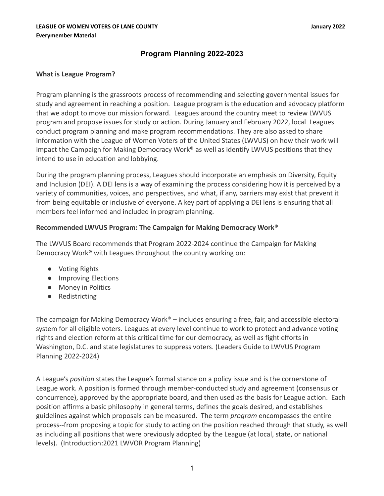# **Program Planning 2022-2023**

# **What is League Program?**

Program planning is the grassroots process of recommending and selecting governmental issues for study and agreement in reaching a position. League program is the education and advocacy platform that we adopt to move our mission forward. Leagues around the country meet to review LWVUS program and propose issues for study or action. During January and February 2022, local Leagues conduct program planning and make program recommendations. They are also asked to share information with the League of Women Voters of the United States (LWVUS) on how their work will impact the Campaign for Making Democracy Work**®** as well as identify LWVUS positions that they intend to use in education and lobbying.

During the program planning process, Leagues should incorporate an emphasis on Diversity, Equity and Inclusion (DEI). A DEI lens is a way of examining the process considering how it is perceived by a variety of communities, voices, and perspectives, and what, if any, barriers may exist that prevent it from being equitable or inclusive of everyone. A key part of applying a DEI lens is ensuring that all members feel informed and included in program planning.

# **Recommended LWVUS Program: The Campaign for Making Democracy Work®**

The LWVUS Board recommends that Program 2022-2024 continue the Campaign for Making Democracy Work® with Leagues throughout the country working on:

- Voting Rights
- Improving Elections
- Money in Politics
- Redistricting

The campaign for Making Democracy Work<sup>®</sup> – includes ensuring a free, fair, and accessible electoral system for all eligible voters. Leagues at every level continue to work to protect and advance voting rights and election reform at this critical time for our democracy, as well as fight efforts in Washington, D.C. and state legislatures to suppress voters. (Leaders Guide to LWVUS Program Planning 2022-2024)

A League's *position* states the League's formal stance on a policy issue and is the cornerstone of League work. A position is formed through member-conducted study and agreement (consensus or concurrence), approved by the appropriate board, and then used as the basis for League action. Each position affirms a basic philosophy in general terms, defines the goals desired, and establishes guidelines against which proposals can be measured. The term *program* encompasses the entire process--from proposing a topic for study to acting on the position reached through that study, as well as including all positions that were previously adopted by the League (at local, state, or national levels). (Introduction:2021 LWVOR Program Planning)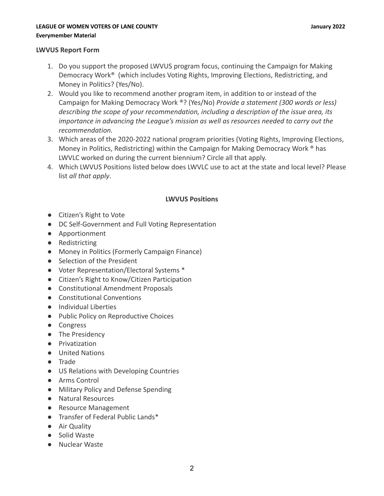### **LEAGUE OF WOMEN VOTERS OF LANE COUNTY January 2022 Everymember Material**

# **LWVUS Report Form**

- 1. Do you support the proposed LWVUS program focus, continuing the Campaign for Making Democracy Work® (which includes Voting Rights, Improving Elections, Redistricting, and Money in Politics? (Yes/No).
- 2. Would you like to recommend another program item, in addition to or instead of the Campaign for Making Democracy Work ®? (Yes/No) *Provide a statement (300 words or less) describing the scope of your recommendation, including a description of the issue area, its importance in advancing the League's mission as well as resources needed to carry out the recommendation.*
- 3. Which areas of the 2020-2022 national program priorities (Voting Rights, Improving Elections, Money in Politics, Redistricting) within the Campaign for Making Democracy Work ® has LWVLC worked on during the current biennium? Circle all that apply.
- 4. Which LWVUS Positions listed below does LWVLC use to act at the state and local level? Please list *all that apply*.

# **LWVUS Positions**

- Citizen's Right to Vote
- DC Self-Government and Full Voting Representation
- Apportionment
- Redistricting
- Money in Politics (Formerly Campaign Finance)
- Selection of the President
- Voter Representation/Electoral Systems \*
- Citizen's Right to Know/Citizen Participation
- Constitutional Amendment Proposals
- Constitutional Conventions
- Individual Liberties
- Public Policy on Reproductive Choices
- Congress
- The Presidency
- Privatization
- United Nations
- Trade
- US Relations with Developing Countries
- Arms Control
- Military Policy and Defense Spending
- Natural Resources
- Resource Management
- Transfer of Federal Public Lands\*
- Air Quality
- Solid Waste
- Nuclear Waste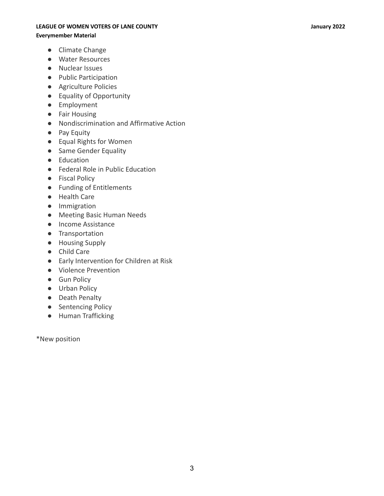#### **LEAGUE OF WOMEN VOTERS OF LANE COUNTY January 2022**

#### **Everymember Material**

- Climate Change
- Water Resources
- Nuclear Issues
- Public Participation
- Agriculture Policies
- Equality of Opportunity
- Employment
- Fair Housing
- Nondiscrimination and Affirmative Action
- Pay Equity
- Equal Rights for Women
- Same Gender Equality
- Education
- Federal Role in Public Education
- Fiscal Policy
- Funding of Entitlements
- Health Care
- Immigration
- Meeting Basic Human Needs
- Income Assistance
- Transportation
- Housing Supply
- Child Care
- Early Intervention for Children at Risk
- Violence Prevention
- Gun Policy
- Urban Policy
- Death Penalty
- Sentencing Policy
- Human Trafficking

\*New position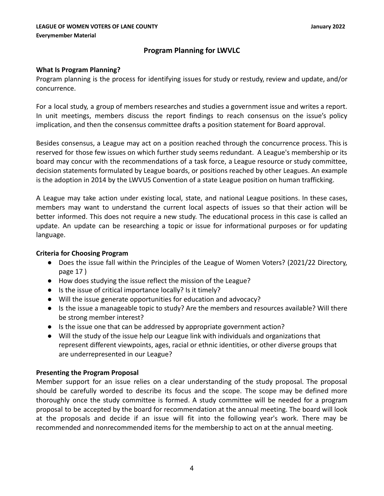# **Program Planning for LWVLC**

# **What Is Program Planning?**

Program planning is the process for identifying issues for study or restudy, review and update, and/or concurrence.

For a local study, a group of members researches and studies a government issue and writes a report. In unit meetings, members discuss the report findings to reach consensus on the issue's policy implication, and then the consensus committee drafts a position statement for Board approval.

Besides consensus, a League may act on a position reached through the concurrence process. This is reserved for those few issues on which further study seems redundant. A League's membership or its board may concur with the recommendations of a task force, a League resource or study committee, decision statements formulated by League boards, or positions reached by other Leagues. An example is the adoption in 2014 by the LWVUS Convention of a state League position on human trafficking.

A League may take action under existing local, state, and national League positions. In these cases, members may want to understand the current local aspects of issues so that their action will be better informed. This does not require a new study. The educational process in this case is called an update. An update can be researching a topic or issue for informational purposes or for updating language.

# **Criteria for Choosing Program**

- Does the issue fall within the Principles of the League of Women Voters? (2021/22 Directory, page 17 )
- How does studying the issue reflect the mission of the League?
- Is the issue of critical importance locally? Is it timely?
- Will the issue generate opportunities for education and advocacy?
- Is the issue a manageable topic to study? Are the members and resources available? Will there be strong member interest?
- Is the issue one that can be addressed by appropriate government action?
- Will the study of the issue help our League link with individuals and organizations that represent different viewpoints, ages, racial or ethnic identities, or other diverse groups that are underrepresented in our League?

# **Presenting the Program Proposal**

Member support for an issue relies on a clear understanding of the study proposal. The proposal should be carefully worded to describe its focus and the scope. The scope may be defined more thoroughly once the study committee is formed. A study committee will be needed for a program proposal to be accepted by the board for recommendation at the annual meeting. The board will look at the proposals and decide if an issue will fit into the following year's work. There may be recommended and nonrecommended items for the membership to act on at the annual meeting.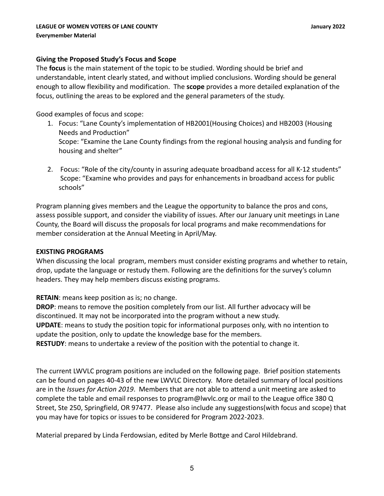# **Giving the Proposed Study's Focus and Scope**

The **focus** is the main statement of the topic to be studied. Wording should be brief and understandable, intent clearly stated, and without implied conclusions. Wording should be general enough to allow flexibility and modification. The **scope** provides a more detailed explanation of the focus, outlining the areas to be explored and the general parameters of the study.

Good examples of focus and scope:

- 1. Focus: "Lane County's implementation of HB2001(Housing Choices) and HB2003 (Housing Needs and Production" Scope: "Examine the Lane County findings from the regional housing analysis and funding for housing and shelter"
- 2. Focus: "Role of the city/county in assuring adequate broadband access for all K-12 students" Scope: "Examine who provides and pays for enhancements in broadband access for public schools"

Program planning gives members and the League the opportunity to balance the pros and cons, assess possible support, and consider the viability of issues. After our January unit meetings in Lane County, the Board will discuss the proposals for local programs and make recommendations for member consideration at the Annual Meeting in April/May.

### **EXISTING PROGRAMS**

When discussing the local program, members must consider existing programs and whether to retain, drop, update the language or restudy them. Following are the definitions for the survey's column headers. They may help members discuss existing programs.

**RETAIN**: means keep position as is; no change.

**DROP**: means to remove the position completely from our list. All further advocacy will be discontinued. It may not be incorporated into the program without a new study. **UPDATE**: means to study the position topic for informational purposes only, with no intention to update the position, only to update the knowledge base for the members. **RESTUDY**: means to undertake a review of the position with the potential to change it.

The current LWVLC program positions are included on the following page. Brief position statements can be found on pages 40-43 of the new LWVLC Directory. More detailed summary of local positions are in the *Issues for Action 2019*. Members that are not able to attend a unit meeting are asked to complete the table and email responses to program@lwvlc.org or mail to the League office 380 Q Street, Ste 250, Springfield, OR 97477. Please also include any suggestions(with focus and scope) that you may have for topics or issues to be considered for Program 2022-2023.

Material prepared by Linda Ferdowsian, edited by Merle Bottge and Carol Hildebrand.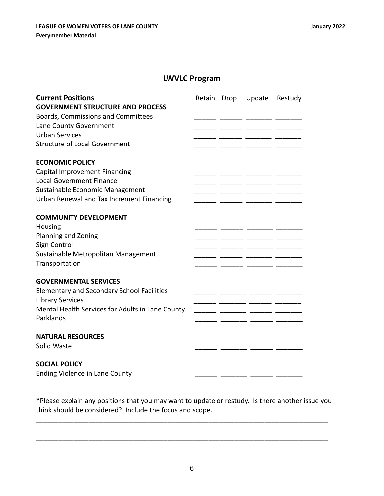# **LWVLC Program**

| <b>Current Positions</b><br><b>GOVERNMENT STRUCTURE AND PROCESS</b><br>Boards, Commissions and Committees<br>Lane County Government<br><b>Urban Services</b><br><b>Structure of Local Government</b> | Retain | Drop | Update | Restudy |
|------------------------------------------------------------------------------------------------------------------------------------------------------------------------------------------------------|--------|------|--------|---------|
| <b>ECONOMIC POLICY</b>                                                                                                                                                                               |        |      |        |         |
| Capital Improvement Financing                                                                                                                                                                        |        |      |        |         |
| <b>Local Government Finance</b>                                                                                                                                                                      |        |      |        |         |
| Sustainable Economic Management                                                                                                                                                                      |        |      |        |         |
| Urban Renewal and Tax Increment Financing                                                                                                                                                            |        |      |        |         |
| <b>COMMUNITY DEVELOPMENT</b><br>Housing<br>Planning and Zoning<br>Sign Control<br>Sustainable Metropolitan Management<br>Transportation                                                              |        |      | - -    |         |
|                                                                                                                                                                                                      |        |      |        |         |
| <b>GOVERNMENTAL SERVICES</b><br><b>Elementary and Secondary School Facilities</b><br><b>Library Services</b><br>Mental Health Services for Adults in Lane County<br>Parklands                        |        |      |        |         |
| <b>NATURAL RESOURCES</b><br>Solid Waste                                                                                                                                                              |        |      |        |         |
| <b>SOCIAL POLICY</b><br><b>Ending Violence in Lane County</b>                                                                                                                                        |        |      |        |         |

\*Please explain any positions that you may want to update or restudy. Is there another issue you think should be considered? Include the focus and scope.

\_\_\_\_\_\_\_\_\_\_\_\_\_\_\_\_\_\_\_\_\_\_\_\_\_\_\_\_\_\_\_\_\_\_\_\_\_\_\_\_\_\_\_\_\_\_\_\_\_\_\_\_\_\_\_\_\_\_\_\_\_\_\_\_\_\_\_\_\_\_\_\_\_\_\_\_\_\_

\_\_\_\_\_\_\_\_\_\_\_\_\_\_\_\_\_\_\_\_\_\_\_\_\_\_\_\_\_\_\_\_\_\_\_\_\_\_\_\_\_\_\_\_\_\_\_\_\_\_\_\_\_\_\_\_\_\_\_\_\_\_\_\_\_\_\_\_\_\_\_\_\_\_\_\_\_\_